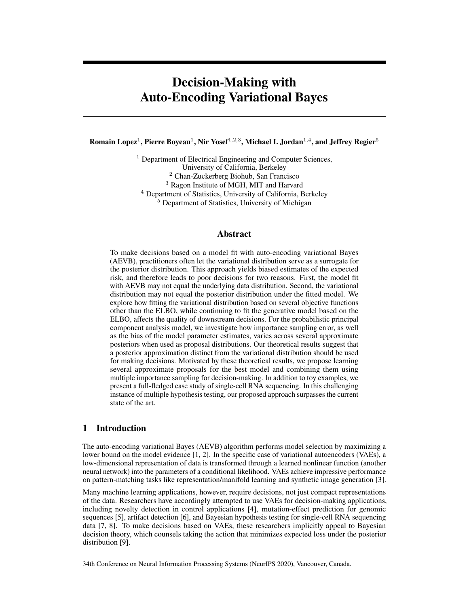# Decision-Making with Auto-Encoding Variational Bayes

Romain Lopez $^1$ , Pierre Boyeau $^1$ , Nir Yosef $^{1,2,3}$ , Michael I. Jordan $^{1,4}$ , and Jeffrey Regier $^5$ 

<sup>1</sup> Department of Electrical Engineering and Computer Sciences, University of California, Berkeley <sup>2</sup> Chan-Zuckerberg Biohub, San Francisco <sup>3</sup> Ragon Institute of MGH, MIT and Harvard <sup>4</sup> Department of Statistics, University of California, Berkeley <sup>5</sup> Department of Statistics, University of Michigan

# Abstract

To make decisions based on a model fit with auto-encoding variational Bayes (AEVB), practitioners often let the variational distribution serve as a surrogate for the posterior distribution. This approach yields biased estimates of the expected risk, and therefore leads to poor decisions for two reasons. First, the model fit with AEVB may not equal the underlying data distribution. Second, the variational distribution may not equal the posterior distribution under the fitted model. We explore how fitting the variational distribution based on several objective functions other than the ELBO, while continuing to fit the generative model based on the ELBO, affects the quality of downstream decisions. For the probabilistic principal component analysis model, we investigate how importance sampling error, as well as the bias of the model parameter estimates, varies across several approximate posteriors when used as proposal distributions. Our theoretical results suggest that a posterior approximation distinct from the variational distribution should be used for making decisions. Motivated by these theoretical results, we propose learning several approximate proposals for the best model and combining them using multiple importance sampling for decision-making. In addition to toy examples, we present a full-fledged case study of single-cell RNA sequencing. In this challenging instance of multiple hypothesis testing, our proposed approach surpasses the current state of the art.

# 1 Introduction

The auto-encoding variational Bayes (AEVB) algorithm performs model selection by maximizing a lower bound on the model evidence [\[1,](#page-9-0) [2\]](#page-9-1). In the specific case of variational autoencoders (VAEs), a low-dimensional representation of data is transformed through a learned nonlinear function (another neural network) into the parameters of a conditional likelihood. VAEs achieve impressive performance on pattern-matching tasks like representation/manifold learning and synthetic image generation [\[3\]](#page-9-2).

Many machine learning applications, however, require decisions, not just compact representations of the data. Researchers have accordingly attempted to use VAEs for decision-making applications, including novelty detection in control applications [\[4\]](#page-9-3), mutation-effect prediction for genomic sequences [\[5\]](#page-9-4), artifact detection [\[6\]](#page-9-5), and Bayesian hypothesis testing for single-cell RNA sequencing data [\[7,](#page-9-6) [8\]](#page-9-7). To make decisions based on VAEs, these researchers implicitly appeal to Bayesian decision theory, which counsels taking the action that minimizes expected loss under the posterior distribution [\[9\]](#page-9-8).

34th Conference on Neural Information Processing Systems (NeurIPS 2020), Vancouver, Canada.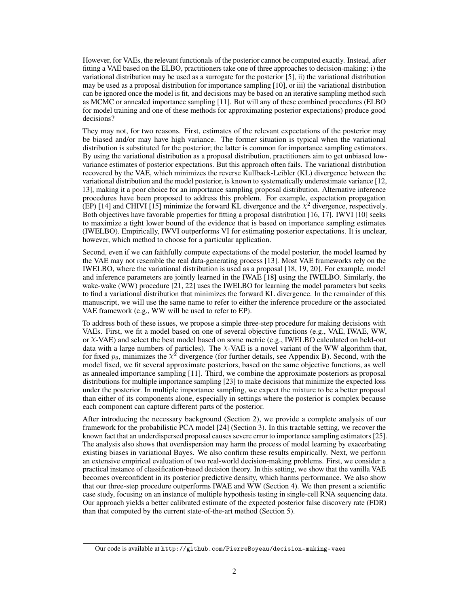However, for VAEs, the relevant functionals of the posterior cannot be computed exactly. Instead, after fitting a VAE based on the ELBO, practitioners take one of three approaches to decision-making: i) the variational distribution may be used as a surrogate for the posterior [\[5\]](#page-9-4), ii) the variational distribution may be used as a proposal distribution for importance sampling [\[10\]](#page-9-9), or iii) the variational distribution can be ignored once the model is fit, and decisions may be based on an iterative sampling method such as MCMC or annealed importance sampling [\[11\]](#page-9-10). But will any of these combined procedures (ELBO for model training and one of these methods for approximating posterior expectations) produce good decisions?

They may not, for two reasons. First, estimates of the relevant expectations of the posterior may be biased and/or may have high variance. The former situation is typical when the variational distribution is substituted for the posterior; the latter is common for importance sampling estimators. By using the variational distribution as a proposal distribution, practitioners aim to get unbiased lowvariance estimates of posterior expectations. But this approach often fails. The variational distribution recovered by the VAE, which minimizes the reverse Kullback-Leibler (KL) divergence between the variational distribution and the model posterior, is known to systematically underestimate variance [\[12,](#page-9-11) [13\]](#page-9-12), making it a poor choice for an importance sampling proposal distribution. Alternative inference procedures have been proposed to address this problem. For example, expectation propagation (EP) [\[14\]](#page-9-13) and CHIVI [\[15\]](#page-9-14) minimize the forward KL divergence and the  $\chi^2$  divergence, respectively. Both objectives have favorable properties for fitting a proposal distribution [\[16,](#page-9-15) [17\]](#page-9-16). IWVI [\[10\]](#page-9-9) seeks to maximize a tight lower bound of the evidence that is based on importance sampling estimates (IWELBO). Empirically, IWVI outperforms VI for estimating posterior expectations. It is unclear, however, which method to choose for a particular application.

Second, even if we can faithfully compute expectations of the model posterior, the model learned by the VAE may not resemble the real data-generating process [\[13\]](#page-9-12). Most VAE frameworks rely on the IWELBO, where the variational distribution is used as a proposal [\[18,](#page-9-17) [19,](#page-9-18) [20\]](#page-9-19). For example, model and inference parameters are jointly learned in the IWAE [\[18\]](#page-9-17) using the IWELBO. Similarly, the wake-wake (WW) procedure [\[21,](#page-9-20) [22\]](#page-9-21) uses the IWELBO for learning the model parameters but seeks to find a variational distribution that minimizes the forward KL divergence. In the remainder of this manuscript, we will use the same name to refer to either the inference procedure or the associated VAE framework (e.g., WW will be used to refer to EP).

To address both of these issues, we propose a simple three-step procedure for making decisions with VAEs. First, we fit a model based on one of several objective functions (e.g., VAE, IWAE, WW, or χ-VAE) and select the best model based on some metric (e.g., IWELBO calculated on held-out data with a large numbers of particles). The  $\chi$ -VAE is a novel variant of the WW algorithm that, for fixed  $p_{\theta}$ , minimizes the  $\chi^2$  divergence (for further details, see Appendix [B\)](#page--1-0). Second, with the model fixed, we fit several approximate posteriors, based on the same objective functions, as well as annealed importance sampling [\[11\]](#page-9-10). Third, we combine the approximate posteriors as proposal distributions for multiple importance sampling [\[23\]](#page-9-22) to make decisions that minimize the expected loss under the posterior. In multiple importance sampling, we expect the mixture to be a better proposal than either of its components alone, especially in settings where the posterior is complex because each component can capture different parts of the posterior.

After introducing the necessary background (Section [2\)](#page-2-0), we provide a complete analysis of our framework for the probabilistic PCA model [\[24\]](#page-9-23) (Section [3\)](#page-2-1). In this tractable setting, we recover the known fact that an underdispersed proposal causes severe error to importance sampling estimators [\[25\]](#page-9-24). The analysis also shows that overdispersion may harm the process of model learning by exacerbating existing biases in variational Bayes. We also confirm these results empirically. Next, we perform an extensive empirical evaluation of two real-world decision-making problems. First, we consider a practical instance of classification-based decision theory. In this setting, we show that the vanilla VAE becomes overconfident in its posterior predictive density, which harms performance. We also show that our three-step procedure outperforms IWAE and WW (Section [4\)](#page-5-0). We then present a scientific case study, focusing on an instance of multiple hypothesis testing in single-cell RNA sequencing data. Our approach yields a better calibrated estimate of the expected posterior false discovery rate (FDR) than that computed by the current state-of-the-art method (Section [5\)](#page-6-0).

Our code is available at <http://github.com/PierreBoyeau/decision-making-vaes>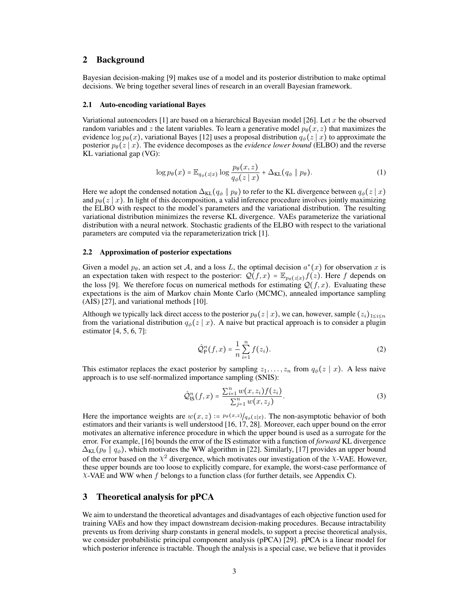## <span id="page-2-0"></span>2 Background

Bayesian decision-making [\[9\]](#page-9-8) makes use of a model and its posterior distribution to make optimal decisions. We bring together several lines of research in an overall Bayesian framework.

#### 2.1 Auto-encoding variational Bayes

Variational autoencoders [\[1\]](#page-9-0) are based on a hierarchical Bayesian model [\[26\]](#page-10-0). Let x be the observed random variables and z the latent variables. To learn a generative model  $p_{\theta}(x, z)$  that maximizes the evidence  $\log p_{\theta}(x)$ , variational Bayes [\[12\]](#page-9-11) uses a proposal distribution  $q_{\phi}(z | x)$  to approximate the posterior  $p_{\theta}(z | x)$ . The evidence decomposes as the *evidence lower bound* (ELBO) and the reverse KL variational gap (VG):

$$
\log p_{\theta}(x) = \mathbb{E}_{q_{\phi}(z|x)} \log \frac{p_{\theta}(x,z)}{q_{\phi}(z|x)} + \Delta_{\text{KL}}(q_{\phi} \parallel p_{\theta}). \tag{1}
$$

Here we adopt the condensed notation  $\Delta_{KL}(q_{\phi} || p_{\theta})$  to refer to the KL divergence between  $q_{\phi}(z | x)$ and  $p_{\theta}(z | x)$ . In light of this decomposition, a valid inference procedure involves jointly maximizing the ELBO with respect to the model's parameters and the variational distribution. The resulting variational distribution minimizes the reverse KL divergence. VAEs parameterize the variational distribution with a neural network. Stochastic gradients of the ELBO with respect to the variational parameters are computed via the reparameterization trick [\[1\]](#page-9-0).

#### 2.2 Approximation of posterior expectations

Given a model  $p_{\theta}$ , an action set A, and a loss L, the optimal decision  $a^*(x)$  for observation x is an expectation taken with respect to the posterior:  $\mathcal{Q}(f, x) = \mathbb{E}_{p_{\theta}(z|x)} f(z)$ . Here f depends on the loss [\[9\]](#page-9-8). We therefore focus on numerical methods for estimating  $Q(f, x)$ . Evaluating these expectations is the aim of Markov chain Monte Carlo (MCMC), annealed importance sampling (AIS) [\[27\]](#page-10-1), and variational methods [\[10\]](#page-9-9).

Although we typically lack direct access to the posterior  $p_{\theta}(z | x)$ , we can, however, sample  $(z_i)_{1 \leq i \leq n}$ from the variational distribution  $q_{\phi}(z | x)$ . A naive but practical approach is to consider a plugin estimator [\[4,](#page-9-3) [5,](#page-9-4) [6,](#page-9-5) [7\]](#page-9-6):

$$
\hat{Q}_{\mathbf{P}}^n(f, x) = \frac{1}{n} \sum_{i=1}^n f(z_i).
$$
 (2)

This estimator replaces the exact posterior by sampling  $z_1, \ldots, z_n$  from  $q_{\phi}(z | x)$ . A less naive approach is to use self-normalized importance sampling (SNIS):

$$
\hat{Q}_{\text{IS}}^n(f, x) = \frac{\sum_{i=1}^n w(x, z_i) f(z_i)}{\sum_{j=1}^n w(x, z_j)}.
$$
\n(3)

Here the importance weights are  $w(x, z) := p_{\theta}(x, z) / q_{\phi}(z|x)$ . The non-asymptotic behavior of both estimators and their variants is well understood [\[16,](#page-9-15) [17,](#page-9-16) [28\]](#page-10-2). Moreover, each upper bound on the error motivates an alternative inference procedure in which the upper bound is used as a surrogate for the error. For example, [\[16\]](#page-9-15) bounds the error of the IS estimator with a function of *forward* KL divergence  $\Delta_{KL}(p_{\theta} \parallel q_{\phi})$ , which motivates the WW algorithm in [\[22\]](#page-9-21). Similarly, [\[17\]](#page-9-16) provides an upper bound of the error based on the  $\chi^2$  divergence, which motivates our investigation of the  $\chi$ -VAE. However, these upper bounds are too loose to explicitly compare, for example, the worst-case performance of  $X$ -VAE and WW when  $f$  belongs to a function class (for further details, see Appendix [C\)](#page--1-1).

## <span id="page-2-1"></span>3 Theoretical analysis for pPCA

We aim to understand the theoretical advantages and disadvantages of each objective function used for training VAEs and how they impact downstream decision-making procedures. Because intractability prevents us from deriving sharp constants in general models, to support a precise theoretical analysis, we consider probabilistic principal component analysis (pPCA) [\[29\]](#page-10-3). pPCA is a linear model for which posterior inference is tractable. Though the analysis is a special case, we believe that it provides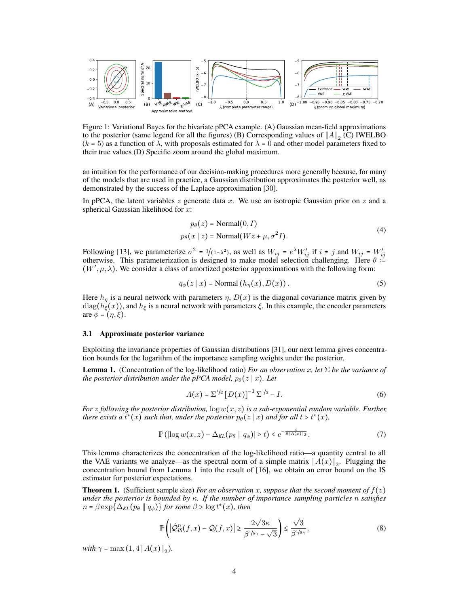<span id="page-3-3"></span>

Figure 1: Variational Bayes for the bivariate pPCA example. (A) Gaussian mean-field approximations to the posterior (same legend for all the figures) (B) Corresponding values of  $||A||_2$  (C) IWELBO  $(k = 5)$  as a function of  $\lambda$ , with proposals estimated for  $\lambda = 0$  and other model parameters fixed to their true values (D) Specific zoom around the global maximum.

an intuition for the performance of our decision-making procedures more generally because, for many of the models that are used in practice, a Gaussian distribution approximates the posterior well, as demonstrated by the success of the Laplace approximation [\[30\]](#page-10-4).

In pPCA, the latent variables  $z$  generate data  $x$ . We use an isotropic Gaussian prior on  $z$  and a spherical Gaussian likelihood for  $x$ :

<span id="page-3-4"></span>
$$
p_{\theta}(z) = \text{Normal}(0, I)
$$
  
\n
$$
p_{\theta}(x \mid z) = \text{Normal}(Wz + \mu, \sigma^2 I).
$$
\n(4)

Following [\[13\]](#page-9-12), we parameterize  $\sigma^2 = 1/(1-\lambda^2)$ , as well as  $W_{ij} = e^{\lambda} W'_{ij}$  if  $i \neq j$  and  $W_{ij} = W'_{ij}$ otherwise. This parameterization is designed to make model selection challenging. Here  $\theta =$  $(W', \mu, \lambda)$ . We consider a class of amortized posterior approximations with the following form:

$$
q_{\phi}(z \mid x) = \text{Normal}\left(h_{\eta}(x), D(x)\right). \tag{5}
$$

Here  $h_n$  is a neural network with parameters  $\eta$ ,  $D(x)$  is the diagonal covariance matrix given by diag( $h_{\xi}(x)$ ), and  $h_{\xi}$  is a neural network with parameters  $\xi$ . In this example, the encoder parameters are  $\phi = (\eta, \xi)$ .

#### 3.1 Approximate posterior variance

Exploiting the invariance properties of Gaussian distributions [\[31\]](#page-10-5), our next lemma gives concentration bounds for the logarithm of the importance sampling weights under the posterior.

<span id="page-3-0"></span>**Lemma 1.** (Concentration of the log-likelihood ratio) *For an observation* x, let  $\Sigma$  *be the variance of the posterior distribution under the pPCA model,*  $p_{\theta}(z | x)$ *. Let* 

<span id="page-3-2"></span>
$$
A(x) = \Sigma^{1/2} [D(x)]^{-1} \Sigma^{1/2} - I.
$$
 (6)

*For* z following the posterior distribution,  $\log w(x, z)$  *is a sub-exponential random variable. Further, there exists a*  $t^*(x)$  *such that, under the posterior*  $p_\theta(z | x)$  *and for all t* >  $t^*(x)$ *,* 

$$
\mathbb{P}\left(\left|\log w(x,z) - \Delta_{KL}(p_{\theta} \mid q_{\phi})\right| \ge t\right) \le e^{-\frac{t}{8\|A(x)\|_2}}.\tag{7}
$$

This lemma characterizes the concentration of the log-likelihood ratio—a quantity central to all the VAE variants we analyze—as the spectral norm of a simple matrix  $||A(x)||_2$ . Plugging the concentration bound from Lemma [1](#page-3-0) into the result of [\[16\]](#page-9-15), we obtain an error bound on the IS estimator for posterior expectations.

<span id="page-3-1"></span>**Theorem 1.** (Sufficient sample size) *For an observation* x, suppose that the second moment of  $f(z)$ *under the posterior is bounded by* κ*. If the number of importance sampling particles* n *satisfies*  $n = \beta \exp\{\Delta_{\text{KL}}(p_\theta \parallel q_\phi)\}\$  for some  $\beta > \log t^*(x)$ , then

$$
\mathbb{P}\left(\left|\hat{\mathcal{Q}}_{IS}^{n}(f,x)-\mathcal{Q}(f,x)\right|\geq\frac{2\sqrt{3\kappa}}{\beta^{1/s_{\gamma}}-\sqrt{3}}\right)\leq\frac{\sqrt{3}}{\beta^{1/s_{\gamma}}},\tag{8}
$$

*with*  $\gamma = \max(1, 4 ||A(x)||_2)$ .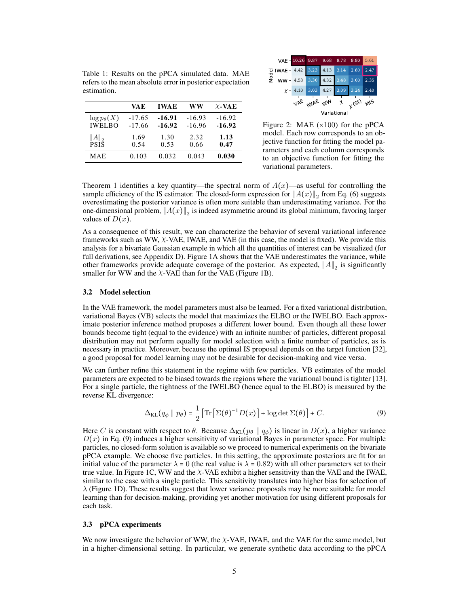|                                       | VA E                 | <b>IWAE</b>          | ww                   | $\chi$ -VAE          |
|---------------------------------------|----------------------|----------------------|----------------------|----------------------|
| $\log p_{\theta}(X)$<br><b>IWELBO</b> | $-17.65$<br>$-17.66$ | $-16.91$<br>$-16.92$ | $-16.93$<br>$-16.96$ | $-16.92$<br>$-16.92$ |
| $  A  _2$<br><b>PSIS</b>              | 1.69<br>0.54         | 1.30<br>0.53         | 2.32<br>0.66         | 1.13<br>0.47         |
| MAE                                   | 0.103                | 0.032                | 0.043                | 0.030                |

<span id="page-4-2"></span><span id="page-4-1"></span>Table 1: Results on the pPCA simulated data. MAE refers to the mean absolute error in posterior expectation

VAE  $w_{\mu\nu}$ X (St) MIS Variational VAE IWAE Model WW 10.26 9.87 9.68 9.78 9.80  $4.13$ 4.53 3.30 4.32 3.48 3.00  $\chi$  - 4.10 3.03 4.27 3.09 3.24 2.40

Figure 2: MAE  $(\times 100)$  for the pPCA model. Each row corresponds to an objective function for fitting the model parameters and each column corresponds to an objective function for fitting the variational parameters.

Theorem [1](#page-3-1) identifies a key quantity—the spectral norm of  $A(x)$ —as useful for controlling the sample efficiency of the IS estimator. The closed-form expression for  $||A(x)||_2$  from Eq. [\(6\)](#page-3-2) suggests overestimating the posterior variance is often more suitable than underestimating variance. For the one-dimensional problem,  $||A(x)||_2$  is indeed asymmetric around its global minimum, favoring larger values of  $D(x)$ .

As a consequence of this result, we can characterize the behavior of several variational inference frameworks such as WW,  $\chi$ -VAE, IWAE, and VAE (in this case, the model is fixed). We provide this analysis for a bivariate Gaussian example in which all the quantities of interest can be visualized (for full derivations, see Appendix [D\)](#page--1-2). Figure [1A](#page-3-3) shows that the VAE underestimates the variance, while other frameworks provide adequate coverage of the posterior. As expected,  $||A||_2$  is significantly smaller for WW and the  $X$ -VAE than for the VAE (Figure [1B](#page-3-3)).

#### 3.2 Model selection

estimation.

In the VAE framework, the model parameters must also be learned. For a fixed variational distribution, variational Bayes (VB) selects the model that maximizes the ELBO or the IWELBO. Each approximate posterior inference method proposes a different lower bound. Even though all these lower bounds become tight (equal to the evidence) with an infinite number of particles, different proposal distribution may not perform equally for model selection with a finite number of particles, as is necessary in practice. Moreover, because the optimal IS proposal depends on the target function [\[32\]](#page-10-6), a good proposal for model learning may not be desirable for decision-making and vice versa.

We can further refine this statement in the regime with few particles. VB estimates of the model parameters are expected to be biased towards the regions where the variational bound is tighter [\[13\]](#page-9-12). For a single particle, the tightness of the IWELBO (hence equal to the ELBO) is measured by the reverse KL divergence:

<span id="page-4-0"></span>
$$
\Delta_{\text{KL}}(q_{\phi} \parallel p_{\theta}) = \frac{1}{2} \left[ \text{Tr} \left[ \Sigma(\theta)^{-1} D(x) \right] + \log \det \Sigma(\theta) \right] + C. \tag{9}
$$

Here C is constant with respect to  $\theta$ . Because  $\Delta_{\text{KL}}(p_{\theta} \parallel q_{\phi})$  is linear in  $D(x)$ , a higher variance  $D(x)$  in Eq. [\(9\)](#page-4-0) induces a higher sensitivity of variational Bayes in parameter space. For multiple particles, no closed-form solution is available so we proceed to numerical experiments on the bivariate pPCA example. We choose five particles. In this setting, the approximate posteriors are fit for an initial value of the parameter  $\lambda = 0$  (the real value is  $\lambda = 0.82$ ) with all other parameters set to their true value. In Figure [1C](#page-3-3), WW and the  $\chi$ -VAE exhibit a higher sensitivity than the VAE and the IWAE, similar to the case with a single particle. This sensitivity translates into higher bias for selection of  $\lambda$  (Figure [1D](#page-3-3)). These results suggest that lower variance proposals may be more suitable for model learning than for decision-making, providing yet another motivation for using different proposals for each task.

### 3.3 pPCA experiments

We now investigate the behavior of WW, the χ-VAE, IWAE, and the VAE for the same model, but in a higher-dimensional setting. In particular, we generate synthetic data according to the pPCA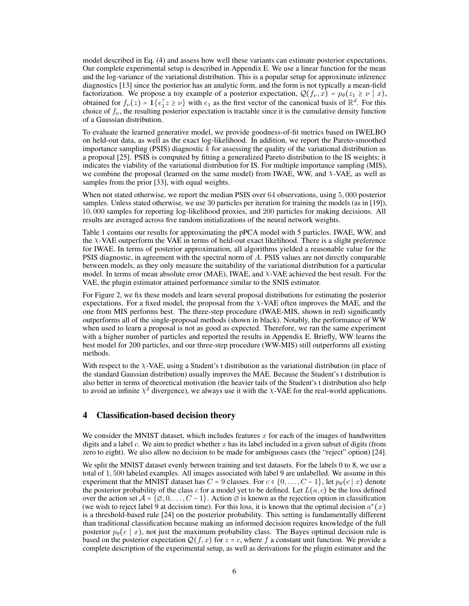model described in Eq. [\(4\)](#page-3-4) and assess how well these variants can estimate posterior expectations. Our complete experimental setup is described in Appendix [E.](#page--1-3) We use a linear function for the mean and the log-variance of the variational distribution. This is a popular setup for approximate inference diagnostics [\[13\]](#page-9-12) since the posterior has an analytic form, and the form is not typically a mean-field factorization. We propose a toy example of a posterior expectation,  $Q(f_{\nu}, x) = p_{\theta}(z_1 \ge \nu \mid x)$ , obtained for  $f_{\nu}(z) = \mathbb{1}\{e_1^{\top}z \ge \nu\}$  with  $e_1$  as the first vector of the canonical basis of  $\mathbb{R}^d$ . For this choice of  $f_{\nu}$ , the resulting posterior expectation is tractable since it is the cumulative density function of a Gaussian distribution.

To evaluate the learned generative model, we provide goodness-of-fit metrics based on IWELBO on held-out data, as well as the exact log-likelihood. In addition, we report the Pareto-smoothed importance sampling (PSIS) diagnostic  $k$  for assessing the quality of the variational distribution as a proposal [\[25\]](#page-9-24). PSIS is computed by fitting a generalized Pareto distribution to the IS weights; it indicates the viability of the variational distribution for IS. For multiple importance sampling (MIS), we combine the proposal (learned on the same model) from IWAE, WW, and  $\chi$ -VAE, as well as samples from the prior [\[33\]](#page-10-7), with equal weights.

When not stated otherwise, we report the median PSIS over 64 observations, using 5, 000 posterior samples. Unless stated otherwise, we use 30 particles per iteration for training the models (as in [\[19\]](#page-9-18)), 10, 000 samples for reporting log-likelihood proxies, and 200 particles for making decisions. All results are averaged across five random initializations of the neural network weights.

Table [1](#page-4-1) contains our results for approximating the pPCA model with 5 particles. IWAE, WW, and the χ-VAE outperform the VAE in terms of held-out exact likelihood. There is a slight preference for IWAE. In terms of posterior approximation, all algorithms yielded a reasonable value for the PSIS diagnostic, in agreement with the spectral norm of A. PSIS values are not directly comparable between models, as they only measure the suitability of the variational distribution for a particular model. In terms of mean absolute error (MAE), IWAE, and χ-VAE achieved the best result. For the VAE, the plugin estimator attained performance similar to the SNIS estimator.

For Figure [2,](#page-4-2) we fix these models and learn several proposal distributions for estimating the posterior expectations. For a fixed model, the proposal from the  $X$ -VAE often improves the MAE, and the one from MIS performs best. The three-step procedure (IWAE-MIS, shown in red) significantly outperforms all of the single-proposal methods (shown in black). Notably, the performance of WW when used to learn a proposal is not as good as expected. Therefore, we ran the same experiment with a higher number of particles and reported the results in Appendix [E.](#page--1-3) Briefly, WW learns the best model for 200 particles, and our three-step procedure (WW-MIS) still outperforms all existing methods.

With respect to the  $\chi$ -VAE, using a Student's t distribution as the variational distribution (in place of the standard Gaussian distribution) usually improves the MAE. Because the Student's t distribution is also better in terms of theoretical motivation (the heavier tails of the Student's t distribution also help to avoid an infinite  $\chi^2$  divergence), we always use it with the  $\chi$ -VAE for the real-world applications.

# <span id="page-5-0"></span>4 Classification-based decision theory

We consider the MNIST dataset, which includes features x for each of the images of handwritten digits and a label c. We aim to predict whether x has its label included in a given subset of digits (from zero to eight). We also allow no decision to be made for ambiguous cases (the "reject" option) [\[24\]](#page-9-23).

We split the MNIST dataset evenly between training and test datasets. For the labels 0 to 8, we use a total of 1, 500 labeled examples. All images associated with label 9 are unlabelled. We assume in this experiment that the MNIST dataset has  $C = 9$  classes. For  $c \in \{0, \ldots, C-1\}$ , let  $p_\theta(c \mid x)$  denote the posterior probability of the class c for a model yet to be defined. Let  $L(a, c)$  be the loss defined over the action set  $A = \{ \emptyset, 0, \ldots, C - 1 \}$ . Action  $\emptyset$  is known as the rejection option in classification (we wish to reject label 9 at decision time). For this loss, it is known that the optimal decision  $a^*(x)$ is a threshold-based rule [\[24\]](#page-9-23) on the posterior probability. This setting is fundamentally different than traditional classification because making an informed decision requires knowledge of the full posterior  $p_{\theta}(c | x)$ , not just the maximum probability class. The Bayes optimal decision rule is based on the posterior expectation  $Q(f, x)$  for  $z = c$ , where f a constant unit function. We provide a complete description of the experimental setup, as well as derivations for the plugin estimator and the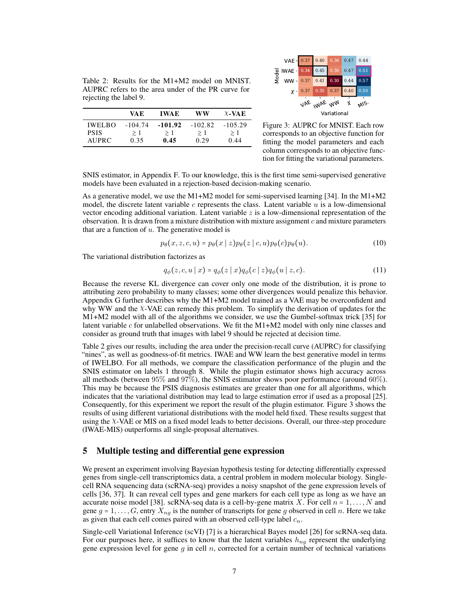<span id="page-6-2"></span><span id="page-6-1"></span>Table 2: Results for the M1+M2 model on MNIST. AUPRC refers to the area under of the PR curve for rejecting the label 9.

|               | VA E      | <b>IWAE</b> | ww        | $\chi$ -VAE |
|---------------|-----------|-------------|-----------|-------------|
| <b>IWELBO</b> | $-104.74$ | $-101.92$   | $-102.82$ | $-105.29$   |
| <b>PSIS</b>   | $\geq 1$  | $\geq 1$    | $\geq 1$  | $\geq 1$    |
| AUPRC.        | 0.35      | 0.45        | 0.29      | 0.44        |



Figure 3: AUPRC for MNIST. Each row corresponds to an objective function for fitting the model parameters and each column corresponds to an objective function for fitting the variational parameters.

SNIS estimator, in Appendix [F.](#page--1-4) To our knowledge, this is the first time semi-supervised generative models have been evaluated in a rejection-based decision-making scenario.

As a generative model, we use the M1+M2 model for semi-supervised learning [\[34\]](#page-10-8). In the M1+M2 model, the discrete latent variable  $c$  represents the class. Latent variable  $u$  is a low-dimensional vector encoding additional variation. Latent variable  $z$  is a low-dimensional representation of the observation. It is drawn from a mixture distribution with mixture assignment  $c$  and mixture parameters that are a function of  $u$ . The generative model is

$$
p_{\theta}(x, z, c, u) = p_{\theta}(x \mid z) p_{\theta}(z \mid c, u) p_{\theta}(c) p_{\theta}(u). \tag{10}
$$

The variational distribution factorizes as

$$
q_{\phi}(z, c, u \mid x) = q_{\phi}(z \mid x) q_{\phi}(c \mid z) q_{\phi}(u \mid z, c).
$$
 (11)

Because the reverse KL divergence can cover only one mode of the distribution, it is prone to attributing zero probability to many classes; some other divergences would penalize this behavior. Appendix [G](#page--1-5) further describes why the M1+M2 model trained as a VAE may be overconfident and why WW and the χ-VAE can remedy this problem. To simplify the derivation of updates for the M1+M2 model with all of the algorithms we consider, we use the Gumbel-softmax trick [\[35\]](#page-10-9) for latent variable  $c$  for unlabelled observations. We fit the M1+M2 model with only nine classes and consider as ground truth that images with label 9 should be rejected at decision time.

Table [2](#page-6-1) gives our results, including the area under the precision-recall curve (AUPRC) for classifying "nines", as well as goodness-of-fit metrics. IWAE and WW learn the best generative model in terms of IWELBO. For all methods, we compare the classification performance of the plugin and the SNIS estimator on labels 1 through 8. While the plugin estimator shows high accuracy across all methods (between 95% and 97%), the SNIS estimator shows poor performance (around 60%). This may be because the PSIS diagnosis estimates are greater than one for all algorithms, which indicates that the variational distribution may lead to large estimation error if used as a proposal [\[25\]](#page-9-24). Consequently, for this experiment we report the result of the plugin estimator. Figure [3](#page-6-2) shows the results of using different variational distributions with the model held fixed. These results suggest that using the  $\chi$ -VAE or MIS on a fixed model leads to better decisions. Overall, our three-step procedure (IWAE-MIS) outperforms all single-proposal alternatives.

## <span id="page-6-0"></span>5 Multiple testing and differential gene expression

We present an experiment involving Bayesian hypothesis testing for detecting differentially expressed genes from single-cell transcriptomics data, a central problem in modern molecular biology. Singlecell RNA sequencing data (scRNA-seq) provides a noisy snapshot of the gene expression levels of cells [\[36,](#page-10-10) [37\]](#page-10-11). It can reveal cell types and gene markers for each cell type as long as we have an accurate noise model [\[38\]](#page-10-12). scRNA-seq data is a cell-by-gene matrix X. For cell  $n = 1, ..., N$  and gene  $g = 1, \ldots, G$ , entry  $X_{ng}$  is the number of transcripts for gene g observed in cell n. Here we take as given that each cell comes paired with an observed cell-type label  $c_n$ .

Single-cell Variational Inference (scVI) [\[7\]](#page-9-6) is a hierarchical Bayes model [\[26\]](#page-10-0) for scRNA-seq data. For our purposes here, it suffices to know that the latent variables  $h_{ng}$  represent the underlying gene expression level for gene  $g$  in cell  $n$ , corrected for a certain number of technical variations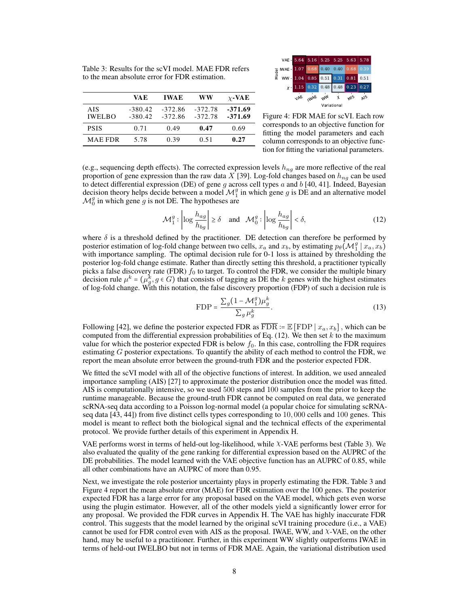<span id="page-7-2"></span><span id="page-7-1"></span>Table 3: Results for the scVI model. MAE FDR refers to the mean absolute error for FDR estimation.

|                      | VA E                   | <b>IWAE</b>            | WW                     | $\chi$ -VAE          |
|----------------------|------------------------|------------------------|------------------------|----------------------|
| AIS<br><b>IWELBO</b> | $-380.42$<br>$-380.42$ | $-372.86$<br>$-372.86$ | $-372.78$<br>$-372.78$ | -371.69<br>$-371.69$ |
| <b>PSIS</b>          | 0.71                   | 0.49                   | 0.47                   | 0.69                 |
| <b>MAE FDR</b>       | 5.78                   | 0.39                   | 0.51                   | 0.27                 |



<span id="page-7-0"></span>Figure 4: FDR MAE for scVI. Each row corresponds to an objective function for fitting the model parameters and each column corresponds to an objective function for fitting the variational parameters.

(e.g., sequencing depth effects). The corrected expression levels  $h_{ng}$  are more reflective of the real proportion of gene expression than the raw data X [\[39\]](#page-10-13). Log-fold changes based on  $h_{nq}$  can be used to detect differential expression (DE) of gene g across cell types a and  $b$  [\[40,](#page-10-14) [41\]](#page-10-15). Indeed, Bayesian decision theory helps decide between a model  $\mathcal{M}_1^g$  in which gene g is DE and an alternative model  $\mathcal{M}_0^g$  in which gene g is not DE. The hypotheses are

$$
\mathcal{M}_1^g: \left| \log \frac{h_{ag}}{h_{bg}} \right| \ge \delta \quad \text{and} \quad \mathcal{M}_0^g: \left| \log \frac{h_{ag}}{h_{bg}} \right| < \delta,
$$
 (12)

where  $\delta$  is a threshold defined by the practitioner. DE detection can therefore be performed by posterior estimation of log-fold change between two cells,  $x_a$  and  $x_b$ , by estimating  $p_\theta(\mathcal{M}_1^g | x_a, x_b)$ with importance sampling. The optimal decision rule for 0-1 loss is attained by thresholding the posterior log-fold change estimate. Rather than directly setting this threshold, a practitioner typically picks a false discovery rate (FDR)  $f_0$  to target. To control the FDR, we consider the multiple binary decision rule  $\mu^k = (\mu_g^k, g \in G)$  that consists of tagging as DE the k genes with the highest estimates of log-fold change. With this notation, the false discovery proportion (FDP) of such a decision rule is

$$
\text{FDP} = \frac{\sum_{g} (1 - \mathcal{M}_1^g) \mu_g^k}{\sum_{g} \mu_g^k}.
$$
\n(13)

Following [\[42\]](#page-10-16), we define the posterior expected FDR as  $\overline{\text{FDR}} := \mathbb{E}[\text{FDP} | x_a, x_b]$ , which can be computed from the differential expression probabilities of Eq.  $(12)$ . We then set k to the maximum value for which the posterior expected FDR is below  $f_0$ . In this case, controlling the FDR requires estimating  $G$  posterior expectations. To quantify the ability of each method to control the FDR, we report the mean absolute error between the ground-truth FDR and the posterior expected FDR.

We fitted the scVI model with all of the objective functions of interest. In addition, we used annealed importance sampling (AIS) [\[27\]](#page-10-1) to approximate the posterior distribution once the model was fitted. AIS is computationally intensive, so we used 500 steps and 100 samples from the prior to keep the runtime manageable. Because the ground-truth FDR cannot be computed on real data, we generated scRNA-seq data according to a Poisson log-normal model (a popular choice for simulating scRNAseq data [\[43,](#page-10-17) [44\]](#page-10-18)) from five distinct cells types corresponding to 10, 000 cells and 100 genes. This model is meant to reflect both the biological signal and the technical effects of the experimental protocol. We provide further details of this experiment in Appendix [H.](#page--1-5)

VAE performs worst in terms of held-out log-likelihood, while χ-VAE performs best (Table [3\)](#page-7-1). We also evaluated the quality of the gene ranking for differential expression based on the AUPRC of the DE probabilities. The model learned with the VAE objective function has an AUPRC of 0.85, while all other combinations have an AUPRC of more than 0.95.

Next, we investigate the role posterior uncertainty plays in properly estimating the FDR. Table [3](#page-7-1) and Figure [4](#page-7-2) report the mean absolute error (MAE) for FDR estimation over the 100 genes. The posterior expected FDR has a large error for any proposal based on the VAE model, which gets even worse using the plugin estimator. However, all of the other models yield a significantly lower error for any proposal. We provided the FDR curves in Appendix [H.](#page--1-5) The VAE has highly inaccurate FDR control. This suggests that the model learned by the original scVI training procedure (i.e., a VAE) cannot be used for FDR control even with AIS as the proposal. IWAE, WW, and  $\chi$ -VAE, on the other hand, may be useful to a practitioner. Further, in this experiment WW slightly outperforms IWAE in terms of held-out IWELBO but not in terms of FDR MAE. Again, the variational distribution used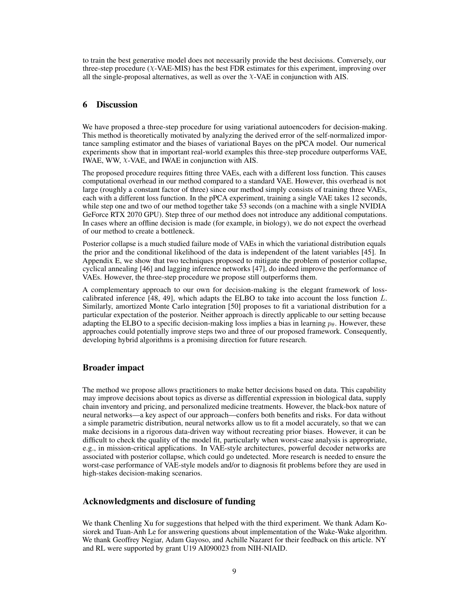to train the best generative model does not necessarily provide the best decisions. Conversely, our three-step procedure  $(X-VAE-MIS)$  has the best FDR estimates for this experiment, improving over all the single-proposal alternatives, as well as over the  $\chi$ -VAE in conjunction with AIS.

# 6 Discussion

We have proposed a three-step procedure for using variational autoencoders for decision-making. This method is theoretically motivated by analyzing the derived error of the self-normalized importance sampling estimator and the biases of variational Bayes on the pPCA model. Our numerical experiments show that in important real-world examples this three-step procedure outperforms VAE, IWAE, WW,  $X$ -VAE, and IWAE in conjunction with AIS.

The proposed procedure requires fitting three VAEs, each with a different loss function. This causes computational overhead in our method compared to a standard VAE. However, this overhead is not large (roughly a constant factor of three) since our method simply consists of training three VAEs, each with a different loss function. In the pPCA experiment, training a single VAE takes 12 seconds, while step one and two of our method together take 53 seconds (on a machine with a single NVIDIA GeForce RTX 2070 GPU). Step three of our method does not introduce any additional computations. In cases where an offline decision is made (for example, in biology), we do not expect the overhead of our method to create a bottleneck.

Posterior collapse is a much studied failure mode of VAEs in which the variational distribution equals the prior and the conditional likelihood of the data is independent of the latent variables [\[45\]](#page-10-19). In Appendix [E,](#page--1-3) we show that two techniques proposed to mitigate the problem of posterior collapse, cyclical annealing [\[46\]](#page-10-20) and lagging inference networks [\[47\]](#page-10-21), do indeed improve the performance of VAEs. However, the three-step procedure we propose still outperforms them.

A complementary approach to our own for decision-making is the elegant framework of losscalibrated inference  $[48, 49]$  $[48, 49]$  $[48, 49]$ , which adapts the ELBO to take into account the loss function  $L$ . Similarly, amortized Monte Carlo integration [\[50\]](#page-10-24) proposes to fit a variational distribution for a particular expectation of the posterior. Neither approach is directly applicable to our setting because adapting the ELBO to a specific decision-making loss implies a bias in learning  $p_{\theta}$ . However, these approaches could potentially improve steps two and three of our proposed framework. Consequently, developing hybrid algorithms is a promising direction for future research.

# Broader impact

The method we propose allows practitioners to make better decisions based on data. This capability may improve decisions about topics as diverse as differential expression in biological data, supply chain inventory and pricing, and personalized medicine treatments. However, the black-box nature of neural networks—a key aspect of our approach—confers both benefits and risks. For data without a simple parametric distribution, neural networks allow us to fit a model accurately, so that we can make decisions in a rigorous data-driven way without recreating prior biases. However, it can be difficult to check the quality of the model fit, particularly when worst-case analysis is appropriate, e.g., in mission-critical applications. In VAE-style architectures, powerful decoder networks are associated with posterior collapse, which could go undetected. More research is needed to ensure the worst-case performance of VAE-style models and/or to diagnosis fit problems before they are used in high-stakes decision-making scenarios.

# Acknowledgments and disclosure of funding

We thank Chenling Xu for suggestions that helped with the third experiment. We thank Adam Kosiorek and Tuan-Anh Le for answering questions about implementation of the Wake-Wake algorithm. We thank Geoffrey Negiar, Adam Gayoso, and Achille Nazaret for their feedback on this article. NY and RL were supported by grant U19 AI090023 from NIH-NIAID.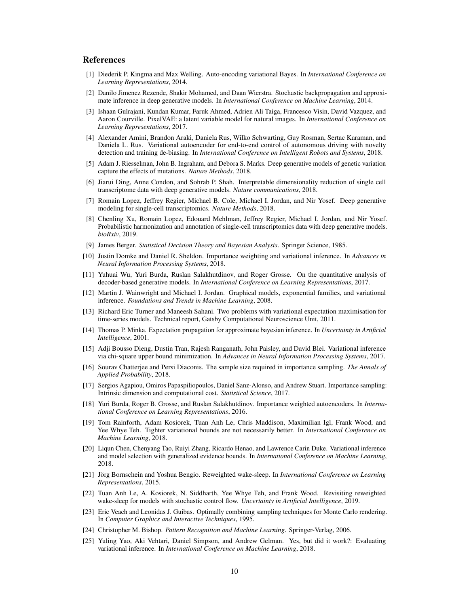## References

- <span id="page-9-0"></span>[1] Diederik P. Kingma and Max Welling. Auto-encoding variational Bayes. In *International Conference on Learning Representations*, 2014.
- <span id="page-9-1"></span>[2] Danilo Jimenez Rezende, Shakir Mohamed, and Daan Wierstra. Stochastic backpropagation and approximate inference in deep generative models. In *International Conference on Machine Learning*, 2014.
- <span id="page-9-2"></span>[3] Ishaan Gulrajani, Kundan Kumar, Faruk Ahmed, Adrien Ali Taiga, Francesco Visin, David Vazquez, and Aaron Courville. PixelVAE: a latent variable model for natural images. In *International Conference on Learning Representations*, 2017.
- <span id="page-9-3"></span>[4] Alexander Amini, Brandon Araki, Daniela Rus, Wilko Schwarting, Guy Rosman, Sertac Karaman, and Daniela L. Rus. Variational autoencoder for end-to-end control of autonomous driving with novelty detection and training de-biasing. In *International Conference on Intelligent Robots and Systems*, 2018.
- <span id="page-9-4"></span>[5] Adam J. Riesselman, John B. Ingraham, and Debora S. Marks. Deep generative models of genetic variation capture the effects of mutations. *Nature Methods*, 2018.
- <span id="page-9-5"></span>[6] Jiarui Ding, Anne Condon, and Sohrab P. Shah. Interpretable dimensionality reduction of single cell transcriptome data with deep generative models. *Nature communications*, 2018.
- <span id="page-9-6"></span>[7] Romain Lopez, Jeffrey Regier, Michael B. Cole, Michael I. Jordan, and Nir Yosef. Deep generative modeling for single-cell transcriptomics. *Nature Methods*, 2018.
- <span id="page-9-7"></span>[8] Chenling Xu, Romain Lopez, Edouard Mehlman, Jeffrey Regier, Michael I. Jordan, and Nir Yosef. Probabilistic harmonization and annotation of single-cell transcriptomics data with deep generative models. *bioRxiv*, 2019.
- <span id="page-9-8"></span>[9] James Berger. *Statistical Decision Theory and Bayesian Analysis*. Springer Science, 1985.
- <span id="page-9-9"></span>[10] Justin Domke and Daniel R. Sheldon. Importance weighting and variational inference. In *Advances in Neural Information Processing Systems*, 2018.
- <span id="page-9-10"></span>[11] Yuhuai Wu, Yuri Burda, Ruslan Salakhutdinov, and Roger Grosse. On the quantitative analysis of decoder-based generative models. In *International Conference on Learning Representations*, 2017.
- <span id="page-9-11"></span>[12] Martin J. Wainwright and Michael I. Jordan. Graphical models, exponential families, and variational inference. *Foundations and Trends in Machine Learning*, 2008.
- <span id="page-9-12"></span>[13] Richard Eric Turner and Maneesh Sahani. Two problems with variational expectation maximisation for time-series models. Technical report, Gatsby Computational Neuroscience Unit, 2011.
- <span id="page-9-13"></span>[14] Thomas P. Minka. Expectation propagation for approximate bayesian inference. In *Uncertainty in Artificial Intelligence*, 2001.
- <span id="page-9-14"></span>[15] Adji Bousso Dieng, Dustin Tran, Rajesh Ranganath, John Paisley, and David Blei. Variational inference via chi-square upper bound minimization. In *Advances in Neural Information Processing Systems*, 2017.
- <span id="page-9-15"></span>[16] Sourav Chatterjee and Persi Diaconis. The sample size required in importance sampling. *The Annals of Applied Probability*, 2018.
- <span id="page-9-16"></span>[17] Sergios Agapiou, Omiros Papaspiliopoulos, Daniel Sanz-Alonso, and Andrew Stuart. Importance sampling: Intrinsic dimension and computational cost. *Statistical Science*, 2017.
- <span id="page-9-17"></span>[18] Yuri Burda, Roger B. Grosse, and Ruslan Salakhutdinov. Importance weighted autoencoders. In *International Conference on Learning Representations*, 2016.
- <span id="page-9-18"></span>[19] Tom Rainforth, Adam Kosiorek, Tuan Anh Le, Chris Maddison, Maximilian Igl, Frank Wood, and Yee Whye Teh. Tighter variational bounds are not necessarily better. In *International Conference on Machine Learning*, 2018.
- <span id="page-9-19"></span>[20] Liqun Chen, Chenyang Tao, Ruiyi Zhang, Ricardo Henao, and Lawrence Carin Duke. Variational inference and model selection with generalized evidence bounds. In *International Conference on Machine Learning*, 2018.
- <span id="page-9-20"></span>[21] Jörg Bornschein and Yoshua Bengio. Reweighted wake-sleep. In *International Conference on Learning Representations*, 2015.
- <span id="page-9-21"></span>[22] Tuan Anh Le, A. Kosiorek, N. Siddharth, Yee Whye Teh, and Frank Wood. Revisiting reweighted wake-sleep for models with stochastic control flow. *Uncertainty in Artificial Intelligence*, 2019.
- <span id="page-9-22"></span>[23] Eric Veach and Leonidas J. Guibas. Optimally combining sampling techniques for Monte Carlo rendering. In *Computer Graphics and Interactive Techniques*, 1995.
- <span id="page-9-23"></span>[24] Christopher M. Bishop. *Pattern Recognition and Machine Learning*. Springer-Verlag, 2006.
- <span id="page-9-24"></span>[25] Yuling Yao, Aki Vehtari, Daniel Simpson, and Andrew Gelman. Yes, but did it work?: Evaluating variational inference. In *International Conference on Machine Learning*, 2018.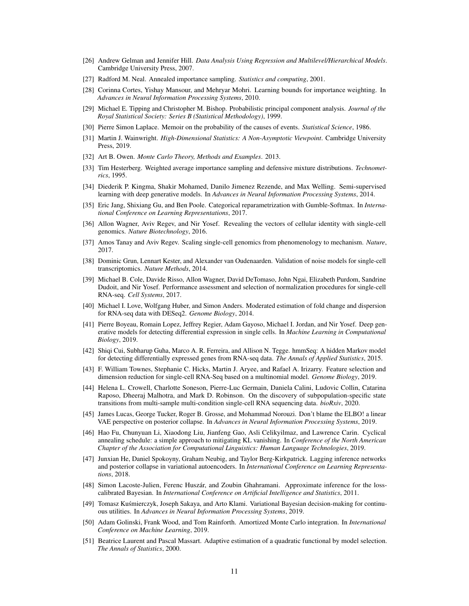- <span id="page-10-0"></span>[26] Andrew Gelman and Jennifer Hill. *Data Analysis Using Regression and Multilevel/Hierarchical Models*. Cambridge University Press, 2007.
- <span id="page-10-1"></span>[27] Radford M. Neal. Annealed importance sampling. *Statistics and computing*, 2001.
- <span id="page-10-2"></span>[28] Corinna Cortes, Yishay Mansour, and Mehryar Mohri. Learning bounds for importance weighting. In *Advances in Neural Information Processing Systems*, 2010.
- <span id="page-10-3"></span>[29] Michael E. Tipping and Christopher M. Bishop. Probabilistic principal component analysis. *Journal of the Royal Statistical Society: Series B (Statistical Methodology)*, 1999.
- <span id="page-10-4"></span>[30] Pierre Simon Laplace. Memoir on the probability of the causes of events. *Statistical Science*, 1986.
- <span id="page-10-5"></span>[31] Martin J. Wainwright. *High-Dimensional Statistics: A Non-Asymptotic Viewpoint*. Cambridge University Press, 2019.
- <span id="page-10-6"></span>[32] Art B. Owen. *Monte Carlo Theory, Methods and Examples*. 2013.
- <span id="page-10-7"></span>[33] Tim Hesterberg. Weighted average importance sampling and defensive mixture distributions. *Technometrics*, 1995.
- <span id="page-10-8"></span>[34] Diederik P. Kingma, Shakir Mohamed, Danilo Jimenez Rezende, and Max Welling. Semi-supervised learning with deep generative models. In *Advances in Neural Information Processing Systems*, 2014.
- <span id="page-10-9"></span>[35] Eric Jang, Shixiang Gu, and Ben Poole. Categorical reparametrization with Gumble-Softmax. In *International Conference on Learning Representations*, 2017.
- <span id="page-10-10"></span>[36] Allon Wagner, Aviv Regev, and Nir Yosef. Revealing the vectors of cellular identity with single-cell genomics. *Nature Biotechnology*, 2016.
- <span id="page-10-11"></span>[37] Amos Tanay and Aviv Regev. Scaling single-cell genomics from phenomenology to mechanism. *Nature*, 2017.
- <span id="page-10-12"></span>[38] Dominic Grun, Lennart Kester, and Alexander van Oudenaarden. Validation of noise models for single-cell transcriptomics. *Nature Methods*, 2014.
- <span id="page-10-13"></span>[39] Michael B. Cole, Davide Risso, Allon Wagner, David DeTomaso, John Ngai, Elizabeth Purdom, Sandrine Dudoit, and Nir Yosef. Performance assessment and selection of normalization procedures for single-cell RNA-seq. *Cell Systems*, 2017.
- <span id="page-10-14"></span>[40] Michael I. Love, Wolfgang Huber, and Simon Anders. Moderated estimation of fold change and dispersion for RNA-seq data with DESeq2. *Genome Biology*, 2014.
- <span id="page-10-15"></span>[41] Pierre Boyeau, Romain Lopez, Jeffrey Regier, Adam Gayoso, Michael I. Jordan, and Nir Yosef. Deep generative models for detecting differential expression in single cells. In *Machine Learning in Computational Biology*, 2019.
- <span id="page-10-16"></span>[42] Shiqi Cui, Subharup Guha, Marco A. R. Ferreira, and Allison N. Tegge. hmmSeq: A hidden Markov model for detecting differentially expressed genes from RNA-seq data. *The Annals of Applied Statistics*, 2015.
- <span id="page-10-17"></span>[43] F. William Townes, Stephanie C. Hicks, Martin J. Aryee, and Rafael A. Irizarry. Feature selection and dimension reduction for single-cell RNA-Seq based on a multinomial model. *Genome Biology*, 2019.
- <span id="page-10-18"></span>[44] Helena L. Crowell, Charlotte Soneson, Pierre-Luc Germain, Daniela Calini, Ludovic Collin, Catarina Raposo, Dheeraj Malhotra, and Mark D. Robinson. On the discovery of subpopulation-specific state transitions from multi-sample multi-condition single-cell RNA sequencing data. *bioRxiv*, 2020.
- <span id="page-10-19"></span>[45] James Lucas, George Tucker, Roger B. Grosse, and Mohammad Norouzi. Don't blame the ELBO! a linear VAE perspective on posterior collapse. In *Advances in Neural Information Processing Systems*, 2019.
- <span id="page-10-20"></span>[46] Hao Fu, Chunyuan Li, Xiaodong Liu, Jianfeng Gao, Asli Celikyilmaz, and Lawrence Carin. Cyclical annealing schedule: a simple approach to mitigating KL vanishing. In *Conference of the North American Chapter of the Association for Computational Linguistics: Human Language Technologies*, 2019.
- <span id="page-10-21"></span>[47] Junxian He, Daniel Spokoyny, Graham Neubig, and Taylor Berg-Kirkpatrick. Lagging inference networks and posterior collapse in variational autoencoders. In *International Conference on Learning Representations*, 2018.
- <span id="page-10-22"></span>[48] Simon Lacoste-Julien, Ferenc Huszár, and Zoubin Ghahramani. Approximate inference for the losscalibrated Bayesian. In *International Conference on Artificial Intelligence and Statistics*, 2011.
- <span id="page-10-23"></span>[49] Tomasz Kuśmierczyk, Joseph Sakaya, and Arto Klami. Variational Bayesian decision-making for continuous utilities. In *Advances in Neural Information Processing Systems*, 2019.
- <span id="page-10-24"></span>[50] Adam Golinski, Frank Wood, and Tom Rainforth. Amortized Monte Carlo integration. In *International Conference on Machine Learning*, 2019.
- [51] Beatrice Laurent and Pascal Massart. Adaptive estimation of a quadratic functional by model selection. *The Annals of Statistics*, 2000.